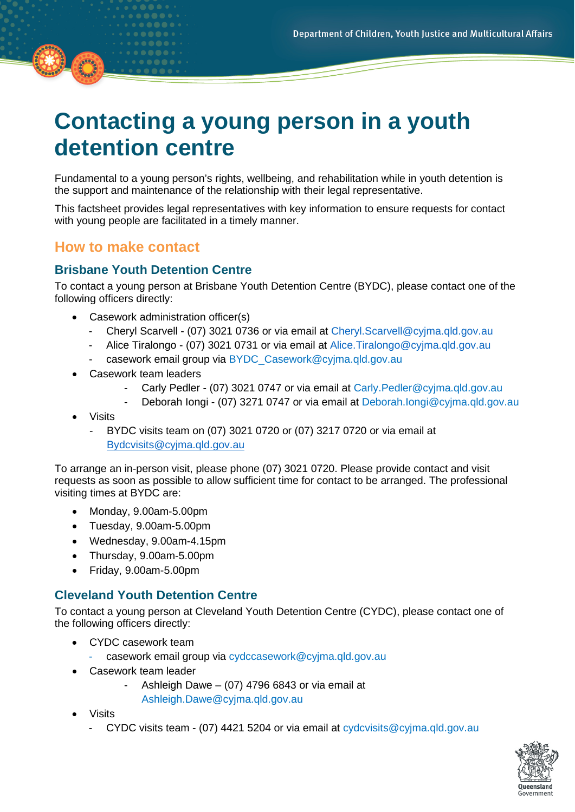# **Contacting a young person in a youth detention centre**

Fundamental to a young person's rights, wellbeing, and rehabilitation while in youth detention is the support and maintenance of the relationship with their legal representative.

This factsheet provides legal representatives with key information to ensure requests for contact with young people are facilitated in a timely manner.

# **How to make contact**

## **Brisbane Youth Detention Centre**

To contact a young person at Brisbane Youth Detention Centre (BYDC), please contact one of the following officers directly:

- Casework administration officer(s)
	- Cheryl Scarvell (07) 3021 0736 or via email at [Cheryl.Scarvell@cyjma.qld.gov.au](mailto:Cheryl.Scarvell@cyjma.qld.gov.au)
	- Alice Tiralongo (07) 3021 0731 or via email at Alice. Tiralongo@cyima.gld.gov.au
	- casework email group via BYDC\_Casework@cyjma.gld.gov.au
- Casework team leaders
	- Carly Pedler (07) 3021 0747 or via email at Carly. Pedler@cyjma.qld.gov.au
	- Deborah Iongi (07) 3271 0747 or via email at [Deborah.Iongi@cyjma.qld.gov.au](mailto:Deborah.Iongi@cyjma.qld.gov.au)
- **Visits** 
	- BYDC visits team on (07) 3021 0720 or (07) 3217 0720 or via email at [Bydcvisits@cyjma.qld.gov.au](mailto:Bydcvisits@cyjma.qld.gov.au)

To arrange an in-person visit, please phone (07) 3021 0720. Please provide contact and visit requests as soon as possible to allow sufficient time for contact to be arranged. The professional visiting times at BYDC are:

- Monday, 9.00am-5.00pm
- Tuesday, 9.00am-5.00pm
- Wednesday, 9.00am-4.15pm
- Thursday, 9.00am-5.00pm
- Friday, 9.00am-5.00pm

#### **Cleveland Youth Detention Centre**

To contact a young person at Cleveland Youth Detention Centre (CYDC), please contact one of the following officers directly:

- CYDC casework team
	- casework email group via [cydccasework@cyjma.qld.gov.au](mailto:cydccasework@cyjma.qld.gov.au)
- Casework team leader
	- Ashleigh Dawe  $-$  (07) 4796 6843 or via email at [Ashleigh.Dawe@cyjma.qld.gov.au](mailto:Ashleigh.Dawe@cyjma.qld.gov.au)
- Visits
	- CYDC visits team (07) 4421 5204 or via email at [cydcvisits@cyjma.qld.gov.au](mailto:cydcvisits@cyjma.qld.gov.au)